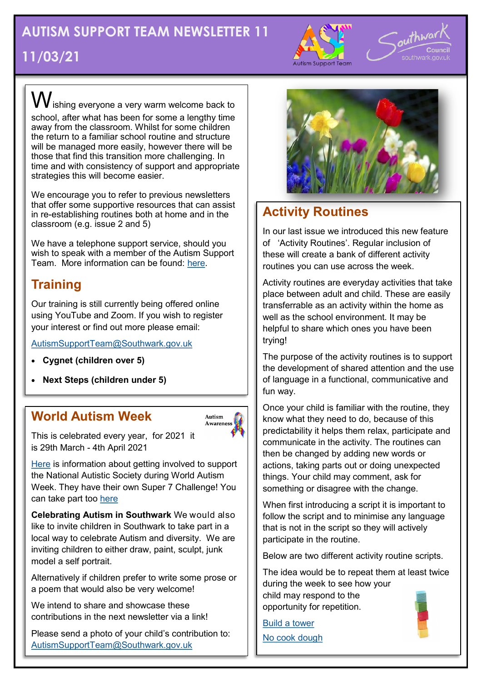## **AUTISM SUPPORT TEAM NEWSLETTER 11 11/03/21**



outhwa

 $\bigvee$ ishing everyone a very warm welcome back to school, after what has been for some a lengthy time away from the classroom. Whilst for some children the return to a familiar school routine and structure will be managed more easily, however there will be those that find this transition more challenging. In time and with consistency of support and appropriate strategies this will become easier.

We encourage you to refer to previous newsletters that offer some supportive resources that can assist in re-establishing routines both at home and in the classroom (e.g. issue 2 and 5)

We have a telephone support service, should you wish to speak with a member of the Autism Support Team. More information can be found: [here.](https://drive.google.com/file/d/1a5tSxGVFCxLuT7gTuswU4kI63W62pzPe/view?usp=sharing)

## **Training**

Our training is still currently being offered online using YouTube and Zoom. If you wish to register your interest or find out more please email:

[AutismSupportTeam@Southwark.gov.uk](mailto:Autism%20Support%20Team%20%3cAutismSupportTeam@southwark.gov.uk%3e)

- **Cygnet (children over 5)**
- **Next Steps (children under 5)**

#### **World Autism Week**



This is celebrated every year, for 2021 it is 29th March - 4th April 2021

[Here](https://www.autism.org.uk/get-involved/raise-money/world-autism-awareness-week) is information about getting involved to support the National Autistic Society during World Autism Week. They have their own Super 7 Challenge! You can take part too [here](https://www.autism.org.uk/get-involved/raise-money/world-autism-awareness-week/super-7-challenge)

**Celebrating Autism in Southwark** We would also like to invite children in Southwark to take part in a local way to celebrate Autism and diversity. We are inviting children to either draw, paint, sculpt, junk model a self portrait.

Alternatively if children prefer to write some prose or a poem that would also be very welcome!

We intend to share and showcase these contributions in the next newsletter via a link!

Please send a photo of your child's contribution to: [AutismSupportTeam@Southwark.gov.uk](mailto:Autism%20Support%20Team%20%3cAutismSupportTeam@southwark.gov.uk%3e)



### **Activity Routines**

In our last issue we introduced this new feature of 'Activity Routines'. Regular inclusion of these will create a bank of different activity routines you can use across the week.

Activity routines are everyday activities that take place between adult and child. These are easily transferrable as an activity within the home as well as the school environment. It may be helpful to share which ones you have been trying!

The purpose of the activity routines is to support the development of shared attention and the use of language in a functional, communicative and fun way.

Once your child is familiar with the routine, they know what they need to do, because of this predictability it helps them relax, participate and communicate in the activity. The routines can then be changed by adding new words or actions, taking parts out or doing unexpected things. Your child may comment, ask for something or disagree with the change.

When first introducing a script it is important to follow the script and to minimise any language that is not in the script so they will actively participate in the routine.

Below are two different activity routine scripts.

The idea would be to repeat them at least twice during the week to see how your child may respond to the opportunity for repetition.

[Build a tower](https://drive.google.com/file/d/1_fle6zlSqsLAdmedjHHYlqepcVLKOjnS/view?usp=sharing) [No cook dough](https://drive.google.com/file/d/1_fle6zlSqsLAdmedjHHYlqepcVLKOjnS/view?usp=sharing)